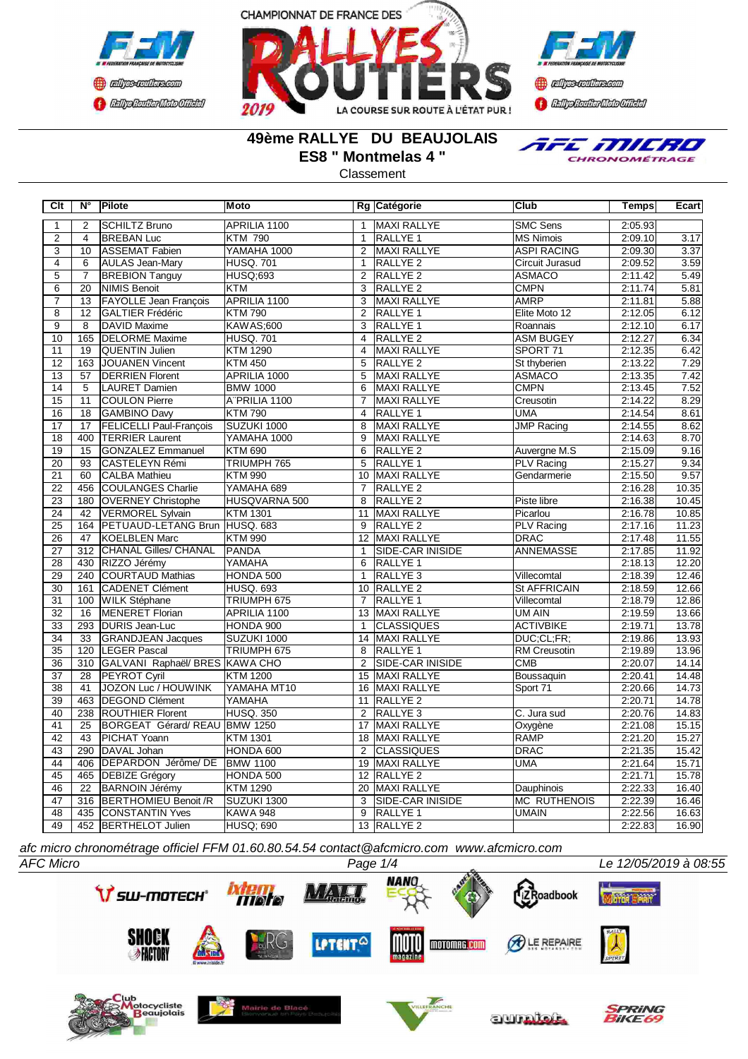





# **49ème RALLYE DU BEAUJOLAIS ES8 " Montmelas 4 "**

TFE MILRO CHRONOMÉTRAGE

Classement

| <b>Clt</b>      | $N^{\circ}$      | Pilote                         | <b>Moto</b>      |                | Rg Catégorie        | Club                | <b>Temps</b> | Ecart |
|-----------------|------------------|--------------------------------|------------------|----------------|---------------------|---------------------|--------------|-------|
| $\mathbf{1}$    | $\overline{2}$   | <b>SCHILTZ Bruno</b>           | APRILIA 1100     | $\mathbf{1}$   | <b>MAXI RALLYE</b>  | <b>SMC Sens</b>     | 2:05.93      |       |
| $\overline{2}$  | $\overline{4}$   | <b>BREBAN Luc</b>              | <b>KTM 790</b>   | $\mathbf{1}$   | <b>RALLYE 1</b>     | <b>MS Nimois</b>    | 2:09.10      | 3.17  |
| 3               | 10               | ASSEMAT Fabien                 | YAMAHA 1000      | 2              | MAXI RALLYE         | <b>ASPI RACING</b>  | 2:09.30      | 3.37  |
| 4               | 6                | <b>AULAS Jean-Mary</b>         | <b>HUSQ. 701</b> | $\mathbf{1}$   | <b>RALLYE 2</b>     | Circuit Jurasud     | 2:09.52      | 3.59  |
| $\overline{5}$  | 7                | <b>BREBION Tanguy</b>          | <b>HUSQ;693</b>  | $\overline{2}$ | RALLYE <sub>2</sub> | <b>ASMACO</b>       | 2:11.42      | 5.49  |
| $\overline{6}$  | $\overline{20}$  | <b>NIMIS Benoit</b>            | <b>KTM</b>       | $\overline{3}$ | RALLYE <sub>2</sub> | <b>CMPN</b>         | 2:11.74      | 5.81  |
| $\overline{7}$  | 13               | <b>FAYOLLE Jean François</b>   | APRILIA 1100     | 3              | MAXI RALLYE         | <b>AMRP</b>         | 2:11.81      | 5.88  |
| $\overline{8}$  | $\overline{12}$  | <b>GALTIER Frédéric</b>        | <b>KTM790</b>    | $\overline{2}$ | <b>RALLYE 1</b>     | Elite Moto 12       | 2:12.05      | 6.12  |
| $\overline{9}$  | $\overline{8}$   | <b>DAVID Maxime</b>            | <b>KAWAS;600</b> | 3              | <b>RALLYE 1</b>     | Roannais            | 2:12.10      | 6.17  |
| 10              | 165              | <b>DELORME Maxime</b>          | <b>HUSQ. 701</b> | $\overline{4}$ | RALLYE <sub>2</sub> | <b>ASM BUGEY</b>    | 2:12.27      | 6.34  |
| $\overline{11}$ | 19               | <b>QUENTIN Julien</b>          | <b>KTM 1290</b>  | $\overline{4}$ | <b>MAXI RALLYE</b>  | SPORT 71            | 2:12.35      | 6.42  |
| 12              | 163              | <b>JOUANEN Vincent</b>         | <b>KTM 450</b>   | $\overline{5}$ | RALLYE <sub>2</sub> | St thyberien        | 2:13.22      | 7.29  |
| 13              | $\overline{57}$  | <b>DERRIEN Florent</b>         | APRILIA 1000     | 5              | <b>MAXI RALLYE</b>  | <b>ASMACO</b>       | 2:13.35      | 7.42  |
| $\overline{14}$ | $\overline{5}$   | <b>LAURET Damien</b>           | <b>BMW 1000</b>  | 6              | <b>MAXI RALLYE</b>  | <b>CMPN</b>         | 2:13.45      | 7.52  |
| $\overline{15}$ | $\overline{11}$  | <b>COULON Pierre</b>           | ATPRILIA 1100    | $\overline{7}$ | <b>MAXI RALLYE</b>  | Creusotin           | 2:14.22      | 8.29  |
| $\overline{16}$ | $\overline{18}$  | GAMBINO Davy                   | <b>KTM790</b>    | $\overline{4}$ | RALLYE 1            | <b>UMA</b>          | 2:14.54      | 8.61  |
| 17              | 17               | <b>FELICELLI Paul-François</b> | SUZUKI 1000      | 8              | MAXI RALLYE         | <b>JMP Racing</b>   | 2:14.55      | 8.62  |
| $\overline{18}$ | 400              | TERRIER Laurent                | YAMAHA 1000      | 9              | MAXI RALLYE         |                     | 2:14.63      | 8.70  |
| 19              | 15               | <b>GONZALEZ Emmanuel</b>       | <b>KTM 690</b>   | 6              | RALLYE <sub>2</sub> | Auvergne M.S        | 2:15.09      | 9.16  |
| 20              | 93               | CASTELEYN Rémi                 | TRIUMPH 765      | 5              | RALLYE <sub>1</sub> | PLV Racing          | 2:15.27      | 9.34  |
| $\overline{21}$ | 60               | <b>CALBA Mathieu</b>           | <b>KTM 990</b>   | 10             | MAXI RALLYE         | Gendarmerie         | 2:15.50      | 9.57  |
| 22              | 456              | <b>COULANGES Charlie</b>       | YAMAHA 689       | $\overline{7}$ | <b>RALLYE 2</b>     |                     | 2:16.28      | 10.35 |
| 23              | 180              | <b>OVERNEY Christophe</b>      | HUSQVARNA 500    | 8              | RALLYE <sub>2</sub> | Piste libre         | 2:16.38      | 10.45 |
| $\overline{24}$ | 42               | VERMOREL Sylvain               | <b>KTM 1301</b>  | 11             | MAXI RALLYE         | Picarlou            | 2:16.78      | 10.85 |
| $\overline{25}$ | 164              | PETUAUD-LETANG Brun HUSQ. 683  |                  | 9              | <b>RALLYE 2</b>     | <b>PLV Racing</b>   | 2:17.16      | 11.23 |
| $\overline{26}$ | 47               | <b>KOELBLEN Marc</b>           | <b>KTM 990</b>   |                | 12 MAXI RALLYE      | <b>DRAC</b>         | 2:17.48      | 11.55 |
| $\overline{27}$ | 312              | <b>CHANAL Gilles/ CHANAL</b>   | <b>PANDA</b>     | $\mathbf{1}$   | SIDE-CAR INISIDE    | <b>ANNEMASSE</b>    | 2:17.85      | 11.92 |
| $\overline{28}$ | 430              | RIZZO Jérémy                   | <b>YAMAHA</b>    | 6              | <b>RALLYE 1</b>     |                     | 2:18.13      | 12.20 |
| 29              | 240              | <b>COURTAUD Mathias</b>        | HONDA 500        | $\mathbf{1}$   | RALLYE <sub>3</sub> | Villecomtal         | 2:18.39      | 12.46 |
| 30              | 161              | <b>CADENET Clément</b>         | <b>HUSQ. 693</b> | 10             | RALLYE <sub>2</sub> | <b>St AFFRICAIN</b> | 2:18.59      | 12.66 |
| 31              | 100              | WILK Stéphane                  | TRIUMPH 675      | $\overline{7}$ | RALLYE <sub>1</sub> | Villecomtal         | 2:18.79      | 12.86 |
| $\overline{32}$ | 16               | <b>MENERET Florian</b>         | APRILIA 1100     | 13             | <b>MAXI RALLYE</b>  | <b>UM AIN</b>       | 2:19.59      | 13.66 |
| 33              | 293              | <b>DURIS Jean-Luc</b>          | HONDA 900        | $\mathbf{1}$   | <b>CLASSIQUES</b>   | <b>ACTIVBIKE</b>    | 2:19.71      | 13.78 |
| $\overline{34}$ | $\overline{33}$  | <b>GRANDJEAN Jacques</b>       | SUZUKI 1000      |                | 14 MAXI RALLYE      | DUC;CL;FR;          | 2:19.86      | 13.93 |
| $\overline{35}$ | 120              | LEGER Pascal                   | TRIUMPH 675      | 8              | RALLYE 1            | RM Creusotin        | 2:19.89      | 13.96 |
| $\overline{36}$ | $\overline{310}$ | GALVANI Raphaël/ BRES KAWA CHO |                  | $\overline{2}$ | SIDE-CAR INISIDE    | CMB                 | 2:20.07      | 14.14 |
| $\overline{37}$ | 28               | PEYROT Cyril                   | <b>KTM 1200</b>  | 15             | MAXI RALLYE         | Boussaquin          | 2:20.41      | 14.48 |
| $\overline{38}$ | 41               | <b>JOZON Luc / HOUWINK</b>     | YAMAHA MT10      | 16             | <b>MAXI RALLYE</b>  | Sport 71            | 2:20.66      | 14.73 |
| 39              | 463              | <b>DEGOND Clément</b>          | YAMAHA           | 11             | RALLYE <sub>2</sub> |                     | 2:20.71      | 14.78 |
| 40              | 238              | <b>ROUTHIER Florent</b>        | <b>HUSQ. 350</b> | 2              | RALLYE <sub>3</sub> | C. Jura sud         | 2:20.76      | 14.83 |
| 41              | 25               | BORGEAT Gérard/REAU BMW 1250   |                  | 17             | <b>MAXI RALLYE</b>  | Oxygène             | 2:21.08      | 15.15 |
| 42              | 43               | PICHAT Yoann                   | <b>KTM 1301</b>  | 18             | <b>MAXI RALLYE</b>  | <b>RAMP</b>         | 2:21.20      | 15.27 |
| 43              | 290              | DAVAL Johan                    | HONDA 600        | 2              | <b>CLASSIQUES</b>   | <b>DRAC</b>         | 2:21.35      | 15.42 |
| 44              | 406              | DEPARDON Jérôme/ DE            | <b>BMW 1100</b>  | 19             | MAXI RALLYE         | <b>UMA</b>          | 2:21.64      | 15.71 |
| 45              | 465              | <b>DEBIZE Grégory</b>          | HONDA 500        |                | 12 RALLYE 2         |                     | 2:21.71      | 15.78 |
| 46              | $\overline{22}$  | <b>BARNOIN Jérémy</b>          | <b>KTM 1290</b>  |                | 20 MAXI RALLYE      | Dauphinois          | 2:22.33      | 16.40 |
| $\overline{47}$ | 316              | <b>BERTHOMIEU Benoit /R</b>    | SUZUKI 1300      | 3              | SIDE-CAR INISIDE    | <b>MC RUTHENOIS</b> | 2:22.39      | 16.46 |
| 48              | 435              | <b>CONSTANTIN Yves</b>         | <b>KAWA 948</b>  | $\overline{9}$ | RALLYE <sub>1</sub> | <b>UMAIN</b>        | 2:22.56      | 16.63 |
| 49              | 452              | <b>BERTHELOT Julien</b>        | <b>HUSQ; 690</b> |                | 13 RALLYE 2         |                     | 2:22.83      | 16.90 |

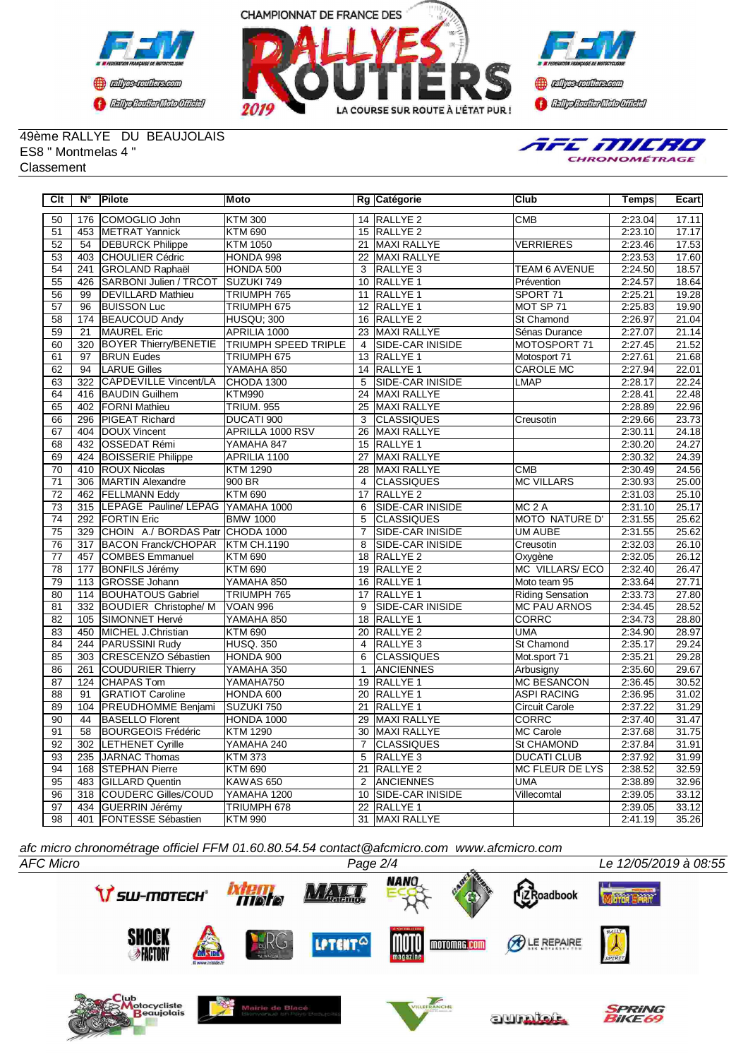





49ème RALLYE DU BEAUJOLAIS ES8 " Montmelas 4 " **Classement** 



| $\overline{C}$ It | $\overline{\mathsf{N}^{\circ}}$ | Pilote                                | <b>Moto</b>                 |                 | Rg Catégorie            | Club                    | <b>Temps</b> | Ecart |
|-------------------|---------------------------------|---------------------------------------|-----------------------------|-----------------|-------------------------|-------------------------|--------------|-------|
| 50                | 176                             | COMOGLIO John                         | <b>KTM 300</b>              |                 | 14 RALLYE 2             | <b>CMB</b>              | 2:23.04      | 17.11 |
| $\overline{51}$   |                                 | 453 METRAT Yannick                    | <b>KTM 690</b>              |                 | 15 RALLYE 2             |                         | 2:23.10      | 17.17 |
| 52                | 54                              | <b>DEBURCK Philippe</b>               | <b>KTM 1050</b>             | 21              | MAXI RALLYE             | <b>VERRIERES</b>        | 2:23.46      | 17.53 |
| 53                | 403                             | <b>CHOULIER Cédric</b>                | HONDA 998                   |                 | 22 MAXI RALLYE          |                         | 2:23.53      | 17.60 |
| 54                | 241                             | GROLAND Raphaël                       | HONDA 500                   | 3               | <b>RALLYE 3</b>         | <b>TEAM 6 AVENUE</b>    | 2:24.50      | 18.57 |
| 55                | 426                             | SARBONI Julien / TRCOT                | SUZUKI 749                  |                 | 10 RALLYE 1             | Prévention              | 2:24.57      | 18.64 |
| 56                | 99                              | <b>DEVILLARD Mathieu</b>              | TRIUMPH 765                 |                 | 11 RALLYE 1             | SPORT <sub>71</sub>     | 2:25.21      | 19.28 |
| $\overline{57}$   | 96                              | <b>BUISSON Luc</b>                    | TRIUMPH 675                 |                 | 12 RALLYE 1             | MOT SP 71               | 2:25.83      | 19.90 |
| $\overline{58}$   | 174                             | <b>BEAUCOUD Andy</b>                  | <b>HUSQU: 300</b>           |                 | 16 RALLYE 2             | <b>St Chamond</b>       | 2:26.97      | 21.04 |
| 59                | $\overline{21}$                 | <b>MAUREL Eric</b>                    | APRILIA 1000                |                 | 23 MAXI RALLYE          | Sénas Durance           | 2:27.07      | 21.14 |
| $\overline{60}$   | 320                             | <b>BOYER Thierry/BENETIE</b>          | <b>TRIUMPH SPEED TRIPLE</b> | $\overline{4}$  | SIDE-CAR INISIDE        | MOTOSPORT 71            | 2:27.45      | 21.52 |
| 61                | $\overline{97}$                 | <b>BRUN Eudes</b>                     | TRIUMPH 675                 |                 | 13 RALLYE 1             | Motosport 71            | 2:27.61      | 21.68 |
| 62                | 94                              | <b>LARUE Gilles</b>                   | YAMAHA 850                  |                 | 14 RALLYE 1             | <b>CAROLE MC</b>        | 2:27.94      | 22.01 |
| 63                | 322                             | <b>CAPDEVILLE Vincent/LA</b>          | CHODA 1300                  | 5               | <b>SIDE-CAR INISIDE</b> | <b>LMAP</b>             | 2:28.17      | 22.24 |
| 64                |                                 | 416 BAUDIN Guilhem                    | <b>KTM990</b>               |                 | 24 MAXI RALLYE          |                         | 2:28.41      | 22.48 |
| 65                | 402                             | <b>FORNI Mathieu</b>                  | <b>TRIUM. 955</b>           | 25              | MAXI RALLYE             |                         | 2:28.89      | 22.96 |
| 66                | 296                             | <b>PIGEAT Richard</b>                 | DUCATI 900                  | 3               | <b>CLASSIQUES</b>       | Creusotin               | 2:29.66      | 23.73 |
| 67                | 404                             | DOUX Vincent                          | <b>APRILLA 1000 RSV</b>     | 26              | <b>MAXI RALLYE</b>      |                         | 2:30.11      | 24.18 |
| 68                | 432                             | <b>OSSEDAT Rémi</b>                   | YAMAHA 847                  |                 | 15 RALLYE 1             |                         | 2:30.20      | 24.27 |
| 69                | 424                             | <b>BOISSERIE Philippe</b>             | APRILIA 1100                | $\overline{27}$ | MAXI RALLYE             |                         | 2:30.32      | 24.39 |
| $\overline{70}$   |                                 | 410 ROUX Nicolas                      | <b>KTM 1290</b>             |                 | 28 MAXI RALLYE          | CMB                     | 2:30.49      | 24.56 |
| $\overline{71}$   |                                 | 306 MARTIN Alexandre                  | 900 BR                      | $\overline{4}$  | CLASSIQUES              | <b>MC VILLARS</b>       | 2:30.93      | 25.00 |
| 72                | 462                             | <b>FELLMANN Eddy</b>                  | <b>KTM 690</b>              | 17              | RALLYE <sub>2</sub>     |                         | 2:31.03      | 25.10 |
| 73                |                                 | 315 LEPAGE Pauline/ LEPAG YAMAHA 1000 |                             | 6               | <b>SIDE-CAR INISIDE</b> | MC <sub>2</sub> A       | 2:31.10      | 25.17 |
| 74                |                                 | 292 FORTIN Eric                       | <b>BMW 1000</b>             | 5               | <b>CLASSIQUES</b>       | <b>MOTO NATURE D'</b>   | 2:31.55      | 25.62 |
| $\overline{75}$   |                                 | 329 CHOIN A./ BORDAS Patr CHODA 1000  |                             | $\overline{7}$  | <b>SIDE-CAR INISIDE</b> | <b>UM AUBE</b>          | 2:31.55      | 25.62 |
| 76                | $\overline{317}$                | <b>BACON Franck/CHOPAR</b>            | <b>KTM CH.1190</b>          | 8               | <b>SIDE-CAR INISIDE</b> | Creusotin               | 2:32.03      | 26.10 |
| $\overline{77}$   | 457                             | <b>COMBES Emmanuel</b>                | <b>KTM 690</b>              |                 | 18 RALLYE 2             | Oxygène                 | 2:32.05      | 26.12 |
| $\overline{78}$   | 177                             | <b>BONFILS Jérémy</b>                 | <b>KTM 690</b>              | $\overline{19}$ | <b>RALLYE 2</b>         | MC VILLARS/ECO          | 2:32.40      | 26.47 |
| 79                | 113                             | <b>GROSSE Johann</b>                  | YAMAHA 850                  | 16              | <b>RALLYE 1</b>         | Moto team 95            | 2:33.64      | 27.71 |
| 80                | 114                             | <b>BOUHATOUS Gabriel</b>              | TRIUMPH 765                 | $\overline{17}$ | <b>RALLYE 1</b>         | <b>Riding Sensation</b> | 2:33.73      | 27.80 |
| 81                |                                 | 332 BOUDIER Christophe/ M             | <b>VOAN 996</b>             | 9               | SIDE-CAR INISIDE        | <b>MC PAU ARNOS</b>     | 2:34.45      | 28.52 |
| 82                | 105                             | SIMONNET Hervé                        | YAMAHA 850                  | 18              | RALLYE <sub>1</sub>     | <b>CORRC</b>            | 2:34.73      | 28.80 |
| 83                |                                 | 450 MICHEL J.Christian                | <b>KTM 690</b>              |                 | 20 RALLYE 2             | <b>UMA</b>              | 2:34.90      | 28.97 |
| 84                | 244                             | <b>PARUSSINI Rudy</b>                 | <b>HUSQ. 350</b>            |                 | 4 RALLYE 3              | St Chamond              | 2:35.17      | 29.24 |
| 85                | 303                             | CRESCENZO Sébastien                   | HONDA 900                   | 6               | <b>CLASSIQUES</b>       | Mot.sport 71            | 2:35.21      | 29.28 |
| 86                | 261                             | <b>COUDURIER Thierry</b>              | YAMAHA 350                  | $\mathbf{1}$    | <b>ANCIENNES</b>        | Arbusigny               | 2:35.60      | 29.67 |
| 87                | 124                             | <b>CHAPAS Tom</b>                     | YAMAHA750                   | 19              | <b>RALLYE 1</b>         | <b>MC BESANCON</b>      | 2:36.45      | 30.52 |
| $\overline{88}$   | 91                              | <b>GRATIOT Caroline</b>               | HONDA 600                   |                 | 20 RALLYE 1             | <b>ASPI RACING</b>      | 2:36.95      | 31.02 |
| 89                | 104                             | <b>PREUDHOMME Benjami</b>             | SUZUKI 750                  |                 | 21 RALLYE 1             | <b>Circuit Carole</b>   | 2:37.22      | 31.29 |
| $\overline{90}$   | 44                              | <b>BASELLO Florent</b>                | HONDA 1000                  | $\overline{29}$ | MAXI RALLYE             | <b>CORRC</b>            | 2:37.40      | 31.47 |
| $\overline{91}$   | $\overline{58}$                 | <b>BOURGEOIS Frédéric</b>             | <b>KTM 1290</b>             | 30              | MAXI RALLYE             | MC Carole               | 2:37.68      | 31.75 |
| 92                | 302                             | <b>LETHENET Cyrille</b>               | YAMAHA 240                  | $\overline{7}$  | <b>CLASSIQUES</b>       | St CHAMOND              | 2:37.84      | 31.91 |
| 93                | 235                             | JARNAC Thomas                         | <b>KTM 373</b>              | 5               | RALLYE 3                | <b>DUCATI CLUB</b>      | 2:37.92      | 31.99 |
| 94                | 168                             | <b>STEPHAN Pierre</b>                 | <b>KTM 690</b>              | 21              | RALLYE <sub>2</sub>     | <b>MC FLEUR DE LYS</b>  | 2:38.52      | 32.59 |
| 95                | 483                             | <b>GILLARD Quentin</b>                | KAWAS 650                   | 2               | <b>ANCIENNES</b>        | <b>UMA</b>              | 2:38.89      | 32.96 |
| 96                |                                 | 318 COUDERC Gilles/COUD               | YAMAHA 1200                 |                 | 10 SIDE-CAR INISIDE     | Villecomtal             | 2:39.05      | 33.12 |
| $\overline{97}$   | 434                             | <b>GUERRIN Jérémy</b>                 | TRIUMPH 678                 |                 | 22 RALLYE 1             |                         | 2:39.05      | 33.12 |
| 98                | 401                             | <b>FONTESSE Sébastien</b>             | <b>KTM 990</b>              |                 | 31 MAXI RALLYE          |                         | 2:41.19      | 35.26 |

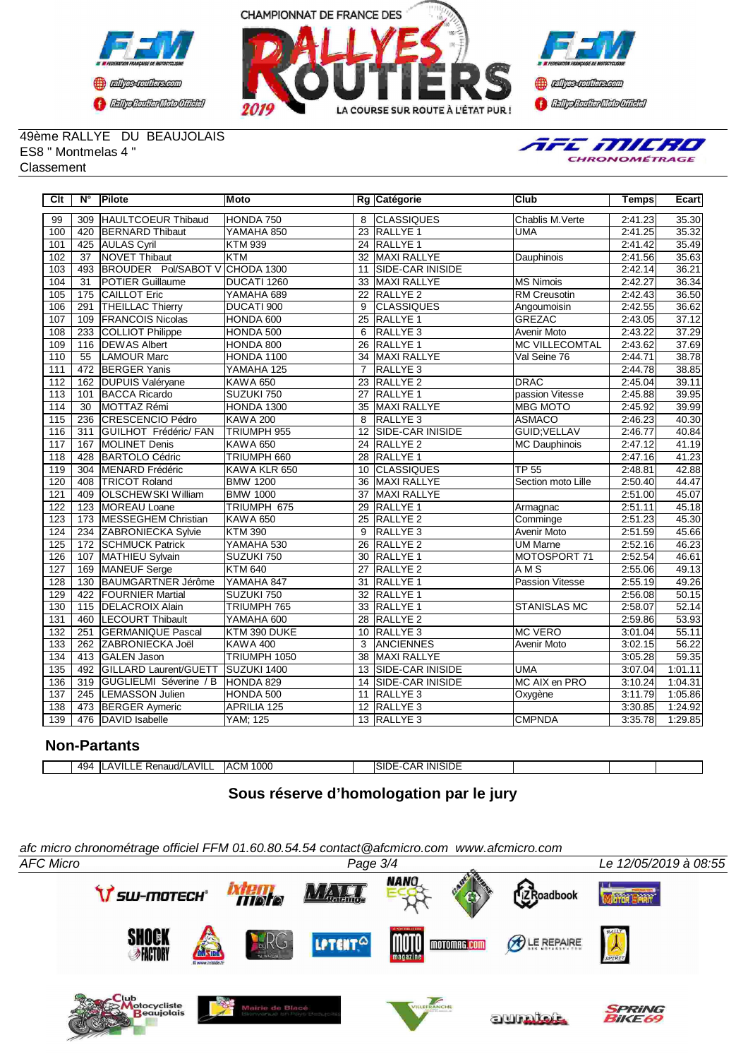





49ème RALLYE DU BEAUJOLAIS ES8 " Montmelas 4 " Classement



| $\overline{C}$ It | N°               | Pilote                       | <b>Moto</b>        |                 | Rg Catégorie            | <b>Club</b>            | <b>Temps</b> | Ecart   |
|-------------------|------------------|------------------------------|--------------------|-----------------|-------------------------|------------------------|--------------|---------|
| 99                | 309              | HAULTCOEUR Thibaud           | HONDA 750          | 8               | <b>CLASSIQUES</b>       | Chablis M. Verte       | 2:41.23      | 35.30   |
| 100               | 420              | <b>BERNARD</b> Thibaut       | YAMAHA 850         | 23              | <b>RALLYE 1</b>         | <b>UMA</b>             | 2:41.25      | 35.32   |
| 101               | 425              | <b>AULAS Cyril</b>           | <b>KTM 939</b>     |                 | 24 RALLYE 1             |                        | 2:41.42      | 35.49   |
| 102               | $\overline{37}$  | <b>NOVET Thibaut</b>         | <b>KTM</b>         | 32              | <b>MAXI RALLYE</b>      | Dauphinois             | 2:41.56      | 35.63   |
| 103               | 493              | <b>BROUDER Pol/SABOT V</b>   | CHODA 1300         | 11              | <b>SIDE-CAR INISIDE</b> |                        | 2:42.14      | 36.21   |
| 104               | 31               | <b>POTIER Guillaume</b>      | DUCATI 1260        | 33              | <b>MAXI RALLYE</b>      | IMS Nimois             | 2:42.27      | 36.34   |
| 105               | 175              | <b>CAILLOT Eric</b>          | YAMAHA 689         | $\overline{22}$ | RALLYE <sub>2</sub>     | <b>RM Creusotin</b>    | 2:42.43      | 36.50   |
| 106               | 291              | <b>THEILLAC Thierry</b>      | DUCATI 900         | 9               | <b>CLASSIQUES</b>       | Angoumoisin            | 2:42.55      | 36.62   |
| 107               | 109              | <b>FRANCOIS Nicolas</b>      | HONDA 600          | $\overline{25}$ | <b>RALLYE 1</b>         | <b>GREZAC</b>          | 2:43.05      | 37.12   |
| 108               | 233              | COLLIOT Philippe             | HONDA 500          | 6               | RALLYE <sub>3</sub>     | <b>Avenir Moto</b>     | 2:43.22      | 37.29   |
| 109               | 116              | <b>DEWAS Albert</b>          | HONDA 800          | 26              | <b>RALLYE 1</b>         | <b>MC VILLECOMTAL</b>  | 2:43.62      | 37.69   |
| 110               | $\overline{55}$  | <b>LAMOUR Marc</b>           | HONDA 1100         | 34              | MAXI RALLYE             | Val Seine 76           | 2:44.71      | 38.78   |
| 111               | 472              | <b>BERGER Yanis</b>          | YAMAHA 125         | $\overline{7}$  | <b>RALLYE 3</b>         |                        | 2:44.78      | 38.85   |
| 112               | 162              | <b>DUPUIS Valéryane</b>      | <b>KAWA 650</b>    | 23              | RALLYE <sub>2</sub>     | DRAC                   | 2:45.04      | 39.11   |
| $\overline{113}$  | 101              | <b>BACCA Ricardo</b>         | SUZUKI 750         | $\overline{27}$ | <b>RALLYE 1</b>         | passion Vitesse        | 2:45.88      | 39.95   |
| 114               | $\overline{30}$  | MOTTAZ Rémi                  | <b>HONDA 1300</b>  | 35              | MAXI RALLYE             | <b>MBG MOTO</b>        | 2:45.92      | 39.99   |
| 115               | 236              | <b>CRESCENCIO Pédro</b>      | <b>KAWA 200</b>    | 8               | RALLYE <sub>3</sub>     | <b>ASMACO</b>          | 2:46.23      | 40.30   |
| 116               | 311              | <b>GUILHOT Frédéric/ FAN</b> | TRIUMPH 955        | $\overline{12}$ | <b>SIDE-CAR INISIDE</b> | <b>GUID; VELLAV</b>    | 2:46.77      | 40.84   |
| $\overline{117}$  | 167              | <b>MOLINET Denis</b>         | <b>KAWA 650</b>    |                 | 24 RALLYE 2             | <b>MC Dauphinois</b>   | 2:47.12      | 41.19   |
| 118               | 428              | <b>BARTOLO Cédric</b>        | TRIUMPH 660        |                 | 28 RALLYE 1             |                        | 2:47.16      | 41.23   |
| 119               | 304              | MENARD Frédéric              | KAWA KLR 650       | 10              | <b>CLASSIQUES</b>       | <b>TP 55</b>           | 2:48.81      | 42.88   |
| 120               | 408              | <b>TRICOT Roland</b>         | <b>BMW 1200</b>    | $\overline{36}$ | <b>MAXI RALLYE</b>      | Section moto Lille     | 2:50.40      | 44.47   |
| 121               | 409              | <b>OLSCHEWSKI William</b>    | <b>BMW 1000</b>    | 37              | <b>MAXI RALLYE</b>      |                        | 2:51.00      | 45.07   |
| 122               | $\overline{123}$ | <b>IMOREAU Loane</b>         | TRIUMPH 675        | 29              | <b>RALLYE 1</b>         | Armagnac               | 2:51.11      | 45.18   |
| 123               | 173              | <b>MESSEGHEM Christian</b>   | <b>KAWA 650</b>    | $\overline{25}$ | <b>RALLYE 2</b>         | Comminge               | 2:51.23      | 45.30   |
| 124               | 234              | ZABRONIECKA Sylvie           | <b>KTM 390</b>     | 9               | RALLYE <sub>3</sub>     | Avenir Moto            | 2:51.59      | 45.66   |
| 125               | 172              | <b>SCHMUCK Patrick</b>       | YAMAHA 530         | 26              | <b>RALLYE 2</b>         | UM Marne               | 2:52.16      | 46.23   |
| 126               | 107              | MATHIEU Sylvain              | SUZUKI 750         | 30              | <b>RALLYE 1</b>         | MOTOSPORT 71           | 2:52.54      | 46.61   |
| 127               | 169              | <b>MANEUF</b> Serge          | <b>KTM 640</b>     | $\overline{27}$ | <b>RALLYE 2</b>         | AMS                    | 2:55.06      | 49.13   |
| 128               | 130              | <b>BAUMGARTNER Jérôme</b>    | YAMAHA 847         | $\overline{31}$ | RALLYE <sub>1</sub>     | <b>Passion Vitesse</b> | 2:55.19      | 49.26   |
| 129               | 422              | <b>FOURNIER Martial</b>      | SUZUKI 750         | 32              | <b>RALLYE 1</b>         |                        | 2:56.08      | 50.15   |
| 130               | 115              | <b>DELACROIX Alain</b>       | TRIUMPH 765        |                 | 33 RALLYE 1             | <b>STANISLAS MC</b>    | 2:58.07      | 52.14   |
| 131               | 460              | <b>LECOURT Thibault</b>      | YAMAHA 600         | 28              | RALLYE <sub>2</sub>     |                        | 2:59.86      | 53.93   |
| 132               | 251              | <b>GERMANIQUE Pascal</b>     | KTM 390 DUKE       | 10              | RALLYE <sub>3</sub>     | <b>MC VERO</b>         | 3:01.04      | 55.11   |
| 133               | 262              | ZABRONIECKA Joël             | <b>KAWA 400</b>    | 3               | <b>ANCIENNES</b>        | <b>Avenir Moto</b>     | 3:02.15      | 56.22   |
| 134               | 413              | <b>GALEN Jason</b>           | TRIUMPH 1050       | 38              | <b>MAXI RALLYE</b>      |                        | 3:05.28      | 59.35   |
| 135               | 492              | GILLARD Laurent/GUETT        | SUZUKI 1400        | 13              | SIDE-CAR INISIDE        | <b>UMA</b>             | 3:07.04      | 1:01.11 |
| 136               | 319              | GUGLIELMI Séverine / B       | HONDA 829          | 14              | <b>SIDE-CAR INISIDE</b> | MC AIX en PRO          | 3:10.24      | 1:04.31 |
| 137               | 245              | <b>LEMASSON Julien</b>       | HONDA 500          | 11              | RALLYE <sub>3</sub>     | Oxygène                | 3:11.79      | 1:05.86 |
| 138               | 473              | <b>BERGER Aymeric</b>        | <b>APRILIA 125</b> | 12 <sup>2</sup> | RALLYE <sub>3</sub>     |                        | 3:30.85      | 1:24.92 |
| 139               | 476              | DAVID Isabelle               | <b>YAM</b> ; 125   |                 | 13 RALLYE 3             | <b>CMPNDA</b>          | 3:35.78      | 1:29.85 |

### **Non-Partants**

| 494 | LAVILLE Renaud/LAVILL | ACM 1000 | | | SIDE-CAR INISIDE

# **Sous réserve d'homologation par le jury**